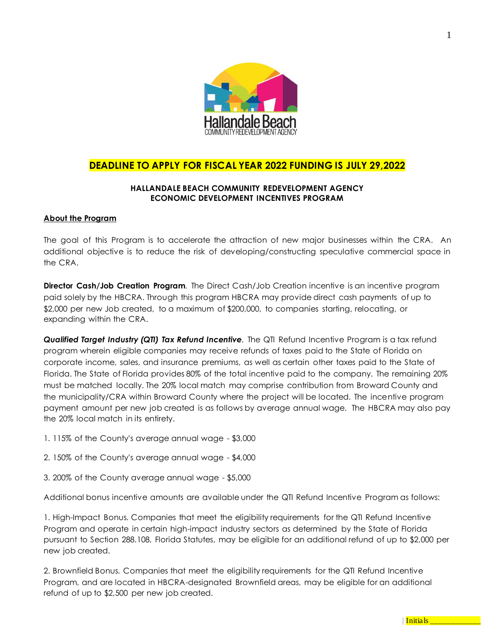

# **DEADLINE TO APPLY FOR FISCAL YEAR 2022 FUNDING IS JULY 29,2022**

# **HALLANDALE BEACH COMMUNITY REDEVELOPMENT AGENCY ECONOMIC DEVELOPMENT INCENTIVES PROGRAM**

# **About the Program**

The goal of this Program is to accelerate the attraction of new major businesses within the CRA. An additional objective is to reduce the risk of developing/constructing speculative commercial space in the CRA.

**Director Cash/Job Creation Program***.* The Direct Cash/Job Creation incentive is an incentive program paid solely by the HBCRA. Through this program HBCRA may provide direct cash payments of up to \$2,000 per new Job created, to a maximum of \$200,000, to companies starting, relocating, or expanding within the CRA.

*Qualified Target Industry (QTI) Tax Refund Incentive.* The QTI Refund Incentive Program is a tax refund program wherein eligible companies may receive refunds of taxes paid to the State of Florida on corporate income, sales, and insurance premiums, as well as certain other taxes paid to the State of Florida. The State of Florida provides 80% of the total incentive paid to the company. The remaining 20% must be matched locally. The 20% local match may comprise contribution from Broward County and the municipality/CRA within Broward County where the project will be located. The incentive program payment amount per new job created is as follows by average annual wage. The HBCRA may also pay the 20% local match in its entirety.

- 1. 115% of the County's average annual wage \$3,000
- 2. 150% of the County's average annual wage \$4,000
- 3. 200% of the County average annual wage \$5,000

Additional bonus incentive amounts are available under the QTI Refund Incentive Program as follows:

1. High-Impact Bonus*.* Companies that meet the eligibility requirements for the QTI Refund Incentive Program and operate in certain high-impact industry sectors as determined by the State of Florida pursuant to Section 288.108, Florida Statutes, may be eligible for an additional refund of up to \$2,000 per new job created.

2. Brownfield Bonus*.* Companies that meet the eligibility requirements for the QTI Refund Incentive Program, and are located in HBCRA-designated Brownfield areas, may be eligible for an additional refund of up to \$2,500 per new job created.

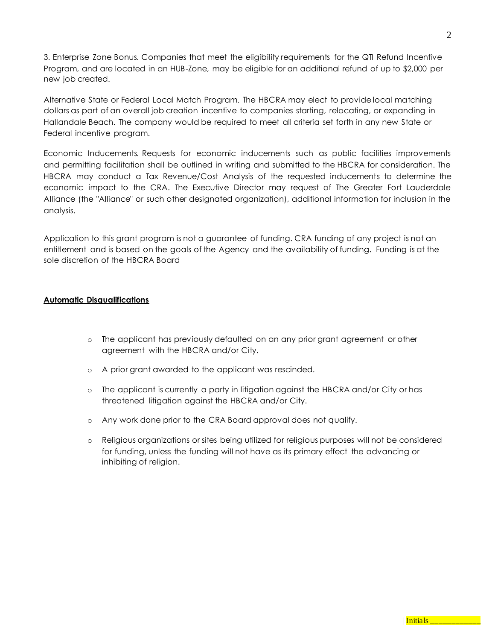3. Enterprise Zone Bonus*.* Companies that meet the eligibility requirements for the QTI Refund Incentive Program, and are located in an HUB-Zone, may be eligible for an additional refund of up to \$2,000 per new job created.

Alternative State or Federal Local Match Program*.* The HBCRA may elect to provide local matching dollars as part of an overall job creation incentive to companies starting, relocating, or expanding in Hallandale Beach. The company would be required to meet all criteria set forth in any new State or Federal incentive program.

Economic Inducements*.* Requests for economic inducements such as public facilities improvements and permitting facilitation shall be outlined in writing and submitted to the HBCRA for consideration. The HBCRA may conduct a Tax Revenue/Cost Analysis of the requested inducements to determine the economic impact to the CRA. The Executive Director may request of The Greater Fort Lauderdale Alliance (the "Alliance" or such other designated organization), additional information for inclusion in the analysis.

Application to this grant program is not a guarantee of funding. CRA funding of any project is not an entitlement and is based on the goals of the Agency and the availability of funding. Funding is at the sole discretion of the HBCRA Board

#### **Automatic Disqualifications**

- o The applicant has previously defaulted on an any prior grant agreement or other agreement with the HBCRA and/or City.
- o A prior grant awarded to the applicant was rescinded.
- o The applicant is currently a party in litigation against the HBCRA and/or City or has threatened litigation against the HBCRA and/or City.
- o Any work done prior to the CRA Board approval does not qualify.
- o Religious organizations or sites being utilized for religious purposes will not be considered for funding, unless the funding will not have as its primary effect the advancing or inhibiting of religion.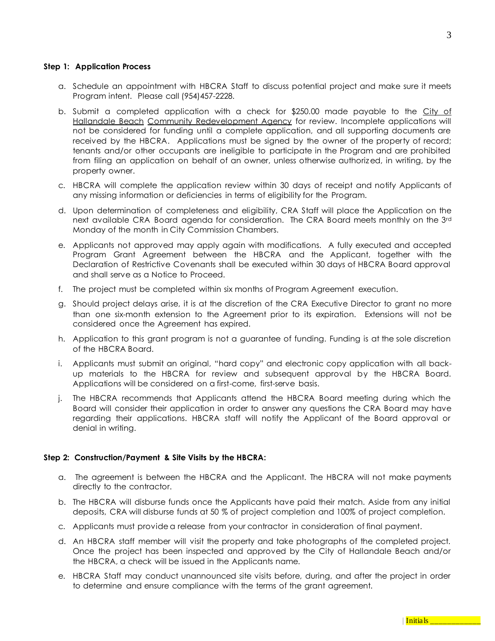#### **Step 1: Application Process**

- a. Schedule an appointment with HBCRA Staff to discuss potential project and make sure it meets Program intent. Please call (954)457-2228.
- b. Submit a completed application with a check for  $$250.00$  made payable to the City of Hallandale Beach Community Redevelopment Agency for review. Incomplete applications will not be considered for funding until a complete application, and all supporting documents are received by the HBCRA. Applications must be signed by the owner of the property of record; tenants and/or other occupants are ineligible to participate in the Program and are prohibited from filing an application on behalf of an owner, unless otherwise authorized, in writing, by the property owner.
- c. HBCRA will complete the application review within 30 days of receipt and notify Applicants of any missing information or deficiencies in terms of eligibility for the Program.
- d. Upon determination of completeness and eligibility, CRA Staff will place the Application on the next available CRA Board agenda for consideration. The CRA Board meets monthly on the 3rd Monday of the month in City Commission Chambers.
- e. Applicants not approved may apply again with modifications. A fully executed and accepted Program Grant Agreement between the HBCRA and the Applicant, together with the Declaration of Restrictive Covenants shall be executed within 30 days of HBCRA Board approval and shall serve as a Notice to Proceed.
- f. The project must be completed within six months of Program Agreement execution.
- g. Should project delays arise, it is at the discretion of the CRA Executive Director to grant no more than one six-month extension to the Agreement prior to its expiration. Extensions will not be considered once the Agreement has expired.
- h. Application to this grant program is not a guarantee of funding. Funding is at the sole discretion of the HBCRA Board.
- i. Applicants must submit an original, "hard copy" and electronic copy application with all backup materials to the HBCRA for review and subsequent approval by the HBCRA Board. Applications will be considered on a first-come, first-serve basis.
- j. The HBCRA recommends that Applicants attend the HBCRA Board meeting during which the Board will consider their application in order to answer any questions the CRA Board may have regarding their applications. HBCRA staff will notify the Applicant of the Board approval or denial in writing.

#### **Step 2: Construction/Payment & Site Visits by the HBCRA:**

- a. The agreement is between the HBCRA and the Applicant. The HBCRA will not make payments directly to the contractor.
- b. The HBCRA will disburse funds once the Applicants have paid their match. Aside from any initial deposits, CRA will disburse funds at 50 % of project completion and 100% of project completion.
- c. Applicants must provide a release from your contractor in consideration of final payment.
- d. An HBCRA staff member will visit the property and take photographs of the completed project. Once the project has been inspected and approved by the City of Hallandale Beach and/or the HBCRA, a check will be issued in the Applicants name.
- e. HBCRA Staff may conduct unannounced site visits before, during, and after the project in order to determine and ensure compliance with the terms of the grant agreement.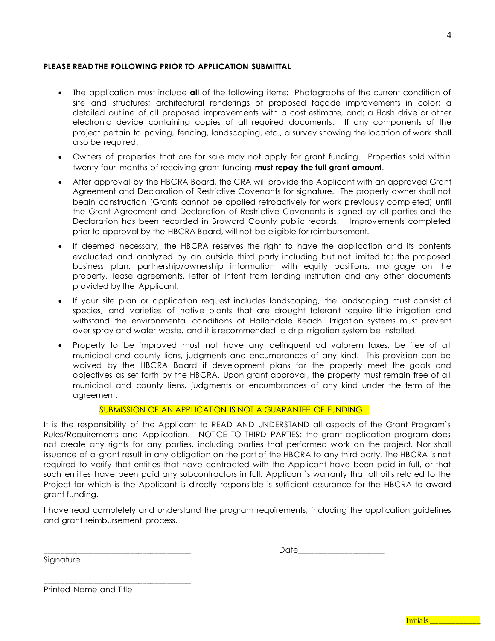### **PLEASE READ THE FOLLOWING PRIOR TO APPLICATION SUBMITTAL**

- The application must include **all** of the following items: Photographs of the current condition of site and structures; architectural renderings of proposed façade improvements in color; a detailed outline of all proposed improvements with a cost estimate, and; a Flash drive or other electronic device containing copies of all required documents. If any components of the project pertain to paving, fencing, landscaping, etc., a survey showing the location of work shall also be required.
- Owners of properties that are for sale may not apply for grant funding. Properties sold within twenty-four months of receiving grant funding **must repay the full grant amount**.
- After approval by the HBCRA Board, the CRA will provide the Applicant with an approved Grant Agreement and Declaration of Restrictive Covenants for signature. The property owner shall not begin construction (Grants cannot be applied retroactively for work previously completed) until the Grant Agreement and Declaration of Restrictive Covenants is signed by all parties and the Declaration has been recorded in Broward County public records. Improvements completed prior to approval by the HBCRA Board, will not be eligible for reimbursement.
- If deemed necessary, the HBCRA reserves the right to have the application and its contents evaluated and analyzed by an outside third party including but not limited to; the proposed business plan, partnership/ownership information with equity positions, mortgage on the property, lease agreements, letter of Intent from lending institution and any other documents provided by the Applicant.
- If your site plan or application request includes landscaping, the landscaping must consist of species, and varieties of native plants that are drought tolerant require little irrigation and withstand the environmental conditions of Hallandale Beach. Irrigation systems must prevent over spray and water waste, and it is recommended a drip irrigation system be installed.
- Property to be improved must not have any delinquent ad valorem taxes, be free of all municipal and county liens, judgments and encumbrances of any kind. This provision can be waived by the HBCRA Board if development plans for the property meet the goals and objectives as set forth by the HBCRA. Upon grant approval, the property must remain free of all municipal and county liens, judgments or encumbrances of any kind under the term of the agreement.

# SUBMISSION OF AN APPLICATION IS NOT A GUARANTEE OF FUNDING

It is the responsibility of the Applicant to READ AND UNDERSTAND all aspects of the Grant Program`s Rules/Requirements and Application. NOTICE TO THIRD PARTIES: the grant application program does not create any rights for any parties, including parties that performed work on the project. Nor shall issuance of a grant result in any obligation on the part of the HBCRA to any third party. The HBCRA is not required to verify that entities that have contracted with the Applicant have been paid in full, or that such entities have been paid any subcontractors in full. Applicant`s warranty that all bills related to the Project for which is the Applicant is directly responsible is sufficient assurance for the HBCRA to award grant funding.

I have read completely and understand the program requirements, including the application guidelines and grant reimbursement process.

\_\_\_\_\_\_\_\_\_\_\_\_\_\_\_\_\_\_\_\_\_\_\_\_\_\_\_\_\_\_\_\_\_\_\_\_ Date\_\_\_\_\_\_\_\_\_\_\_\_\_\_\_\_\_\_\_\_\_

Signature

Printed Name and Title

\_\_\_\_\_\_\_\_\_\_\_\_\_\_\_\_\_\_\_\_\_\_\_\_\_\_\_\_\_\_\_\_\_\_\_\_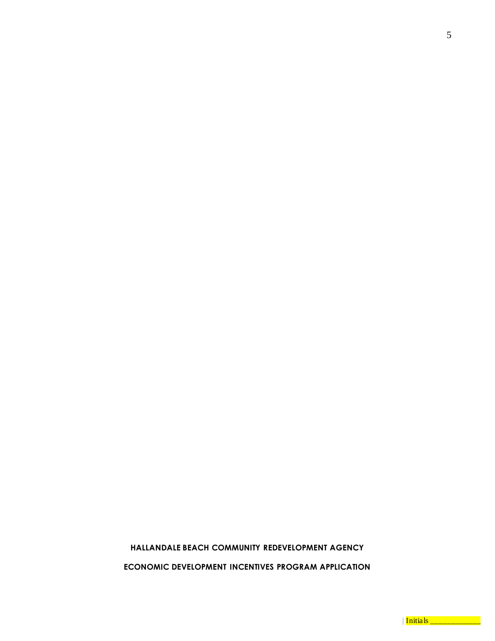# **HALLANDALE BEACH COMMUNITY REDEVELOPMENT AGENCY**

**ECONOMIC DEVELOPMENT INCENTIVES PROGRAM APPLICATION**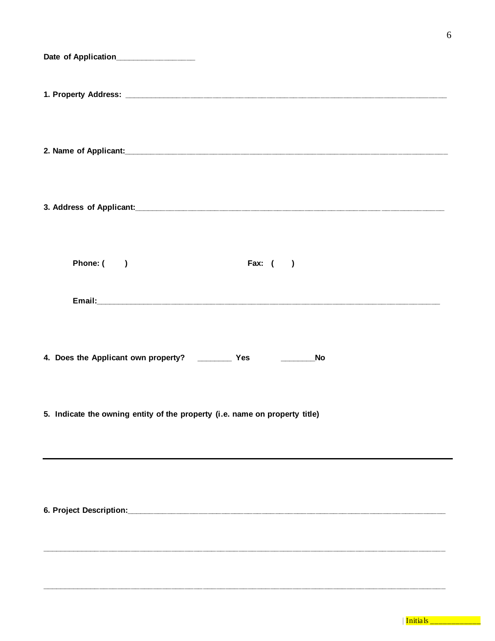| Date of Application______________                                           |
|-----------------------------------------------------------------------------|
|                                                                             |
|                                                                             |
|                                                                             |
| Fax: $($ $)$<br>Phone: ()                                                   |
|                                                                             |
| <b>No</b>                                                                   |
| 5. Indicate the owning entity of the property (i.e. name on property title) |
|                                                                             |
|                                                                             |
|                                                                             |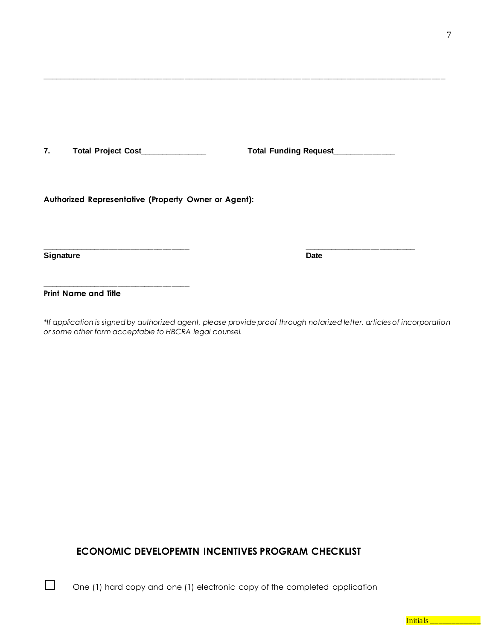**7. Total Project Cost\_\_\_\_\_\_\_\_\_\_\_\_\_\_\_ Total Funding Request\_\_\_\_\_\_\_\_\_\_\_\_\_\_**

**\_\_\_\_\_\_\_\_\_\_\_\_\_\_\_\_\_\_\_\_\_\_\_\_\_\_\_\_\_\_\_\_\_\_\_\_\_\_\_\_\_\_\_\_\_\_\_\_\_\_\_\_\_\_\_\_\_\_\_\_\_\_\_\_\_\_\_\_\_\_\_\_\_\_\_\_\_\_\_\_\_\_\_\_\_\_\_\_\_\_**

**Authorized Representative (Property Owner or Agent):**

**\_\_\_\_\_\_\_\_\_\_\_\_\_\_\_\_\_\_\_\_\_\_\_\_\_\_\_\_\_\_\_\_\_ \_\_\_\_\_\_\_\_\_\_\_\_\_\_\_\_\_\_\_\_\_\_\_\_\_ Signature Date** 

**Print Name and Title**

**\_\_\_\_\_\_\_\_\_\_\_\_\_\_\_\_\_\_\_\_\_\_\_\_\_\_\_\_\_\_\_\_\_**

*\*If application is signed by authorized agent, please provide proof through notarized letter, articles of incorporation or some other form acceptable to HBCRA legal counsel.*

# **ECONOMIC DEVELOPEMTN INCENTIVES PROGRAM CHECKLIST**

□ One (1) hard copy and one (1) electronic copy of the completed application